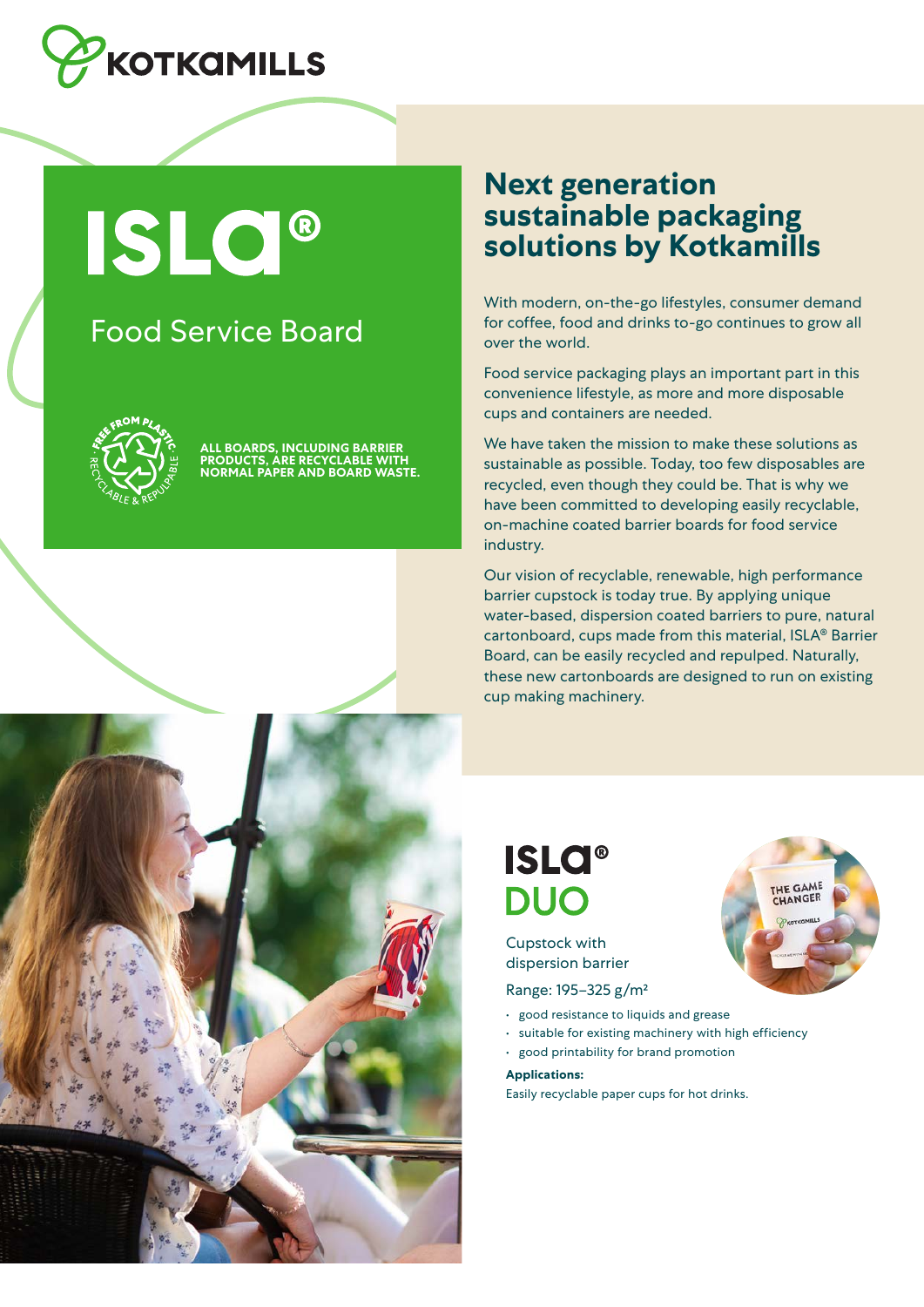

**ISLO®** 

### Food Service Board



**OARDS, INCLUDING BARRIER PRODUCTS, ARE RECYCLABLE WITH NORMAL PAPER AND BOARD WASTE.**

### **Next generation sustainable packaging solutions by Kotkamills**

With modern, on-the-go lifestyles, consumer demand for coffee, food and drinks to-go continues to grow all over the world.

Food service packaging plays an important part in this convenience lifestyle, as more and more disposable cups and containers are needed.

We have taken the mission to make these solutions as sustainable as possible. Today, too few disposables are recycled, even though they could be. That is why we have been committed to developing easily recyclable, on-machine coated barrier boards for food service industry.

Our vision of recyclable, renewable, high performance barrier cupstock is today true. By applying unique water-based, dispersion coated barriers to pure, natural cartonboard, cups made from this material, ISLA® Barrier Board, can be easily recycled and repulped. Naturally, these new cartonboards are designed to run on existing cup making machinery.

HE GAME

LANGER

## **ISLO® DUO**

Cupstock with dispersion barrier

Range: 195–325 g/m²

- good resistance to liquids and grease
- suitable for existing machinery with high efficiency
- good printability for brand promotion

**Applications:**

Easily recyclable paper cups for hot drinks.